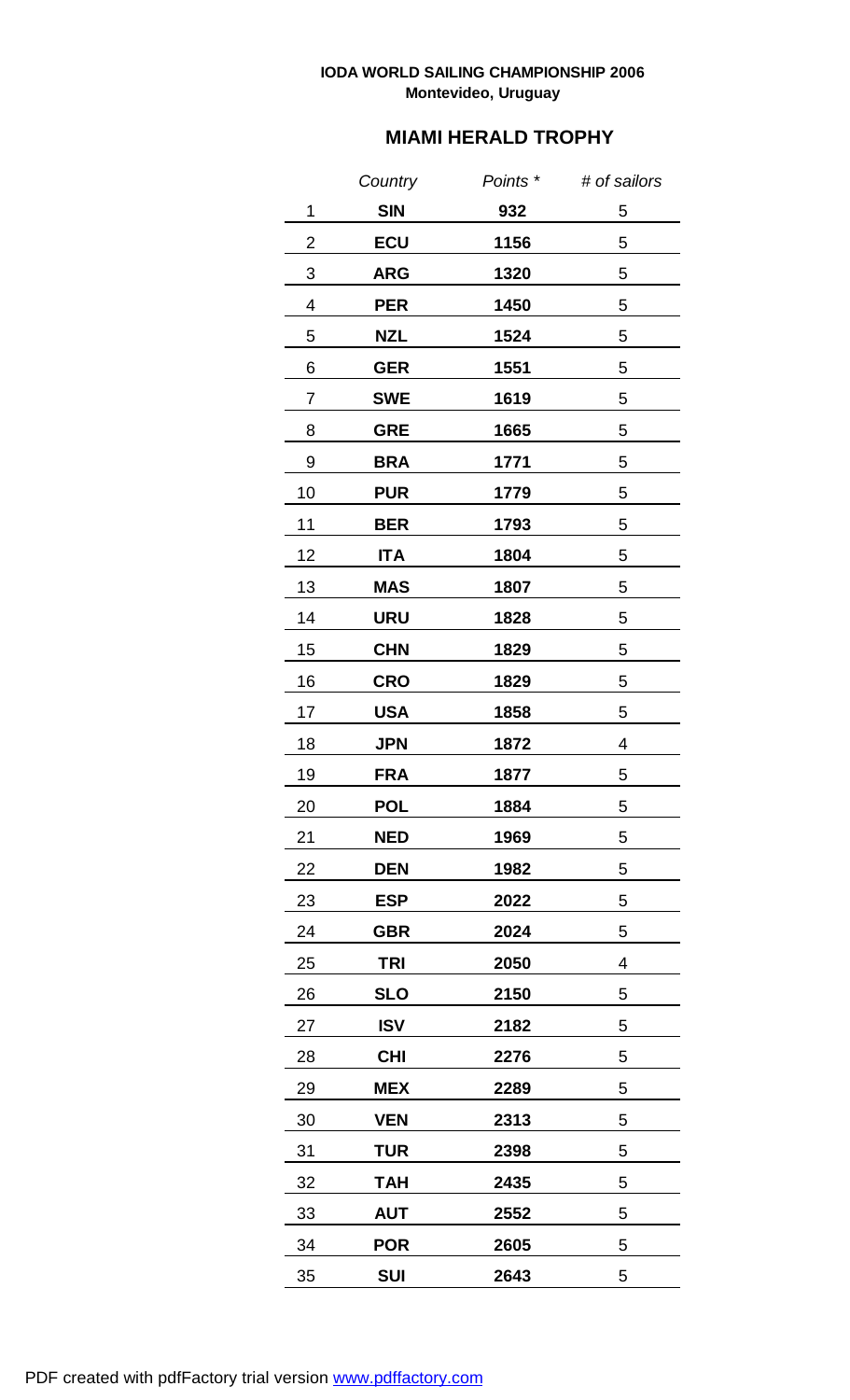## **IODA WORLD SAILING CHAMPIONSHIP 2006 Montevideo, Uruguay**

## **MIAMI HERALD TROPHY**

|    | Country    | Points * | # of sailors |
|----|------------|----------|--------------|
| 1  | <b>SIN</b> | 932      | 5            |
| 2  | <b>ECU</b> | 1156     | 5            |
| 3  | <b>ARG</b> | 1320     | 5            |
| 4  | <b>PER</b> | 1450     | 5            |
| 5  | NZL        | 1524     | 5            |
| 6  | <b>GER</b> | 1551     | 5            |
| 7  | <b>SWE</b> | 1619     | 5            |
| 8  | <b>GRE</b> | 1665     | 5            |
| 9  | <b>BRA</b> | 1771     | 5            |
| 10 | <b>PUR</b> | 1779     | 5            |
| 11 | BER        | 1793     | 5            |
| 12 | <b>ITA</b> | 1804     | 5            |
| 13 | <b>MAS</b> | 1807     | 5            |
| 14 | URU        | 1828     | 5            |
| 15 | <b>CHN</b> | 1829     | 5            |
| 16 | <b>CRO</b> | 1829     | 5            |
| 17 | USA        | 1858     | 5            |
| 18 | <b>JPN</b> | 1872     | 4            |
| 19 | <b>FRA</b> | 1877     | 5            |
| 20 | <b>POL</b> | 1884     | 5            |
| 21 | <b>NED</b> | 1969     | 5            |
| 22 | <b>DEN</b> | 1982     | 5            |
| 23 | <b>ESP</b> | 2022     | 5            |
| 24 | <b>GBR</b> | 2024     | 5            |
| 25 | TRI        | 2050     | 4            |
| 26 | <b>SLO</b> | 2150     | 5            |
| 27 | <b>ISV</b> | 2182     | 5            |
| 28 | <b>CHI</b> | 2276     | 5            |
| 29 | <b>MEX</b> | 2289     | 5            |
| 30 | <b>VEN</b> | 2313     | 5            |
| 31 | <b>TUR</b> | 2398     | 5            |
| 32 | <b>TAH</b> | 2435     | 5            |
| 33 | <b>AUT</b> | 2552     | 5            |
| 34 | <b>POR</b> | 2605     | 5            |
| 35 | SUI        | 2643     | 5            |